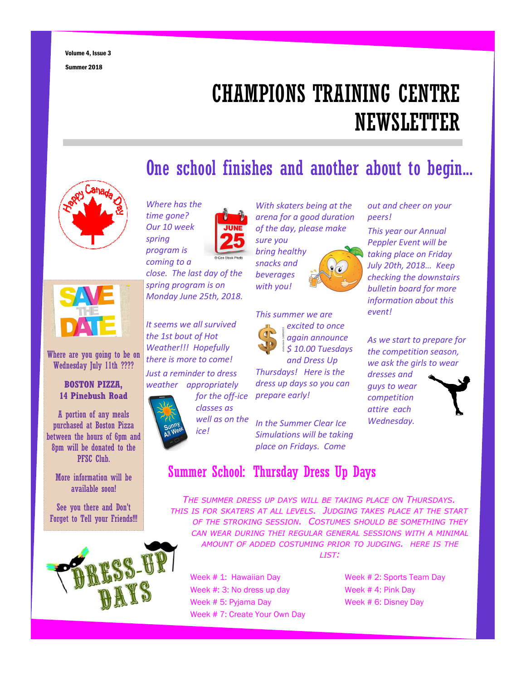# CHAMPIONS TRAINING CENTRE **NEWSLETTER**

### One school finishes and another about to begin...





Where are you going to be on Wednesday July 11th ????

#### **BOSTON PIZZA, 14 Pinebush Road**

A portion of any meals purchased at Boston Pizza between the hours of 6pm and 8pm will be donated to the PFSC Club.

More information will be available soon!

See you there and Don't Forget to Tell your Friends!!!



*Where has the time gone? Our 10 week spring program is*

*coming to a close. The last day of the spring program is on Monday June 25th, 2018.*

*It seems we all survived the 1st bout of Hot Weather!!! Hopefully there is more to come! Just a reminder to dress weather appropriately*



*With skaters being at the arena for a good duration of the day, please make sure you bring healthy*



*This summer we are excited to once again announce \$ 10.00 Tuesdays and Dress Up*

*Thursdays! Here is the dress up days so you can prepare early!*

*In the Summer Clear Ice Simulations will be taking place on Fridays. Come*

## Summer School: Thursday Dress Up Days

*THE SUMMER DRESS UP DAYS WILL BE TAKING PLACE ON THURSDAYS. THIS IS FOR SKATERS AT ALL LEVELS. JUDGING TAKES PLACE AT THE START OF THE STROKING SESSION. COSTUMES SHOULD BE SOMETHING THEY CAN WEAR DURING THEI REGULAR GENERAL SESSIONS WITH A MINIMAL AMOUNT OF ADDED COSTUMING PRIOR TO JUDGING. HERE IS THE LIST:*

Week # 1: Hawaiian Day Week # 2: Sports Team Day Week #: 3: No dress up day Week # 4: Pink Day Week # 5: Pyjama Day Week # 6: Disney Day Week # 7: Create Your Own Day

#### *out and cheer on your peers!*

*This year our Annual Peppler Event will be taking place on Friday July 20th, 2018… Keep checking the downstairs bulletin board for more information about this event!*

*As we start to prepare for the competition season, we ask the girls to wear*

*guys to wear competition attire each Wednesday.*

*dresses and*